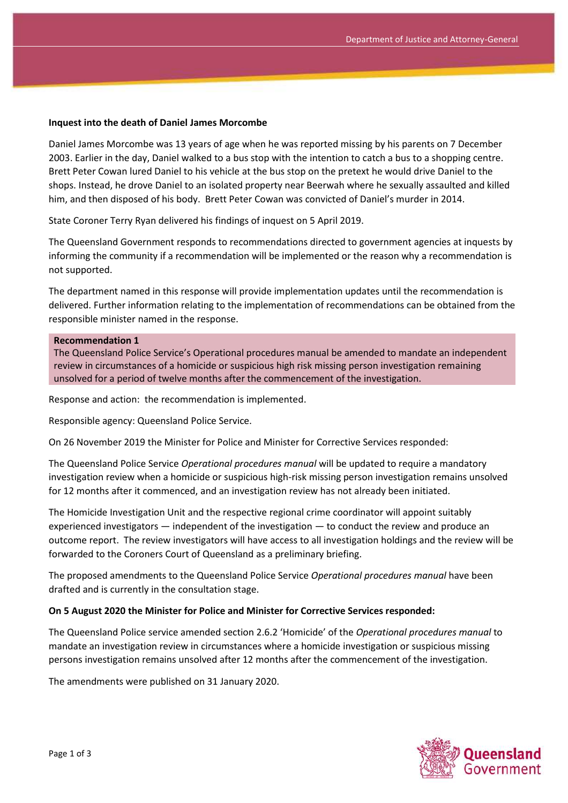### **Inquest into the death of Daniel James Morcombe**

Daniel James Morcombe was 13 years of age when he was reported missing by his parents on 7 December 2003. Earlier in the day, Daniel walked to a bus stop with the intention to catch a bus to a shopping centre. Brett Peter Cowan lured Daniel to his vehicle at the bus stop on the pretext he would drive Daniel to the shops. Instead, he drove Daniel to an isolated property near Beerwah where he sexually assaulted and killed him, and then disposed of his body. Brett Peter Cowan was convicted of Daniel's murder in 2014.

State Coroner Terry Ryan delivered his findings of inquest on 5 April 2019.

The Queensland Government responds to recommendations directed to government agencies at inquests by informing the community if a recommendation will be implemented or the reason why a recommendation is not supported.

The department named in this response will provide implementation updates until the recommendation is delivered. Further information relating to the implementation of recommendations can be obtained from the responsible minister named in the response.

#### **Recommendation 1**

The Queensland Police Service's Operational procedures manual be amended to mandate an independent review in circumstances of a homicide or suspicious high risk missing person investigation remaining unsolved for a period of twelve months after the commencement of the investigation.

Response and action: the recommendation is implemented.

Responsible agency: Queensland Police Service.

On 26 November 2019 the Minister for Police and Minister for Corrective Services responded:

The Queensland Police Service *Operational procedures manual* will be updated to require a mandatory investigation review when a homicide or suspicious high-risk missing person investigation remains unsolved for 12 months after it commenced, and an investigation review has not already been initiated.

The Homicide Investigation Unit and the respective regional crime coordinator will appoint suitably experienced investigators — independent of the investigation — to conduct the review and produce an outcome report. The review investigators will have access to all investigation holdings and the review will be forwarded to the Coroners Court of Queensland as a preliminary briefing.

The proposed amendments to the Queensland Police Service *Operational procedures manual* have been drafted and is currently in the consultation stage.

### **On 5 August 2020 the Minister for Police and Minister for Corrective Services responded:**

The Queensland Police service amended section 2.6.2 'Homicide' of the *Operational procedures manual* to mandate an investigation review in circumstances where a homicide investigation or suspicious missing persons investigation remains unsolved after 12 months after the commencement of the investigation.

The amendments were published on 31 January 2020.

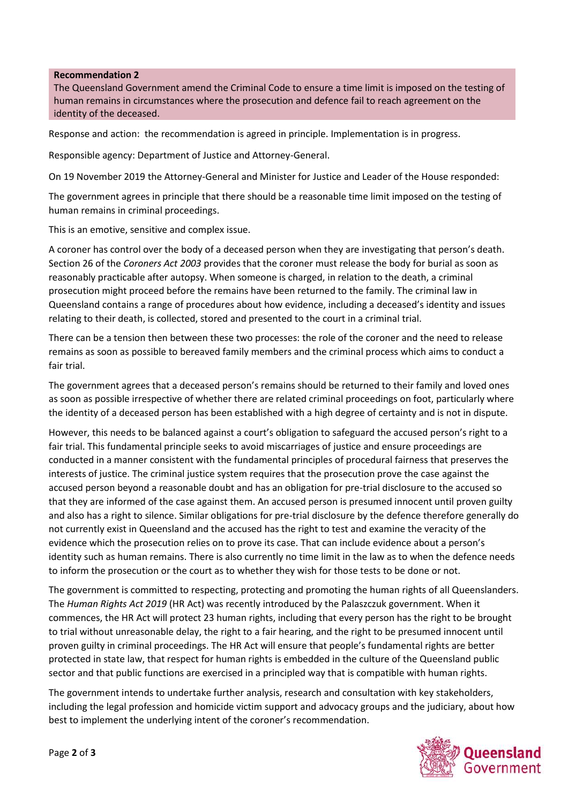## **Recommendation 2**

The Queensland Government amend the Criminal Code to ensure a time limit is imposed on the testing of human remains in circumstances where the prosecution and defence fail to reach agreement on the identity of the deceased.

Response and action: the recommendation is agreed in principle. Implementation is in progress.

Responsible agency: Department of Justice and Attorney-General.

On 19 November 2019 the Attorney-General and Minister for Justice and Leader of the House responded:

The government agrees in principle that there should be a reasonable time limit imposed on the testing of human remains in criminal proceedings.

This is an emotive, sensitive and complex issue.

A coroner has control over the body of a deceased person when they are investigating that person's death. Section 26 of the *Coroners Act 2003* provides that the coroner must release the body for burial as soon as reasonably practicable after autopsy. When someone is charged, in relation to the death, a criminal prosecution might proceed before the remains have been returned to the family. The criminal law in Queensland contains a range of procedures about how evidence, including a deceased's identity and issues relating to their death, is collected, stored and presented to the court in a criminal trial.

There can be a tension then between these two processes: the role of the coroner and the need to release remains as soon as possible to bereaved family members and the criminal process which aims to conduct a fair trial.

The government agrees that a deceased person's remains should be returned to their family and loved ones as soon as possible irrespective of whether there are related criminal proceedings on foot, particularly where the identity of a deceased person has been established with a high degree of certainty and is not in dispute.

However, this needs to be balanced against a court's obligation to safeguard the accused person's right to a fair trial. This fundamental principle seeks to avoid miscarriages of justice and ensure proceedings are conducted in a manner consistent with the fundamental principles of procedural fairness that preserves the interests of justice. The criminal justice system requires that the prosecution prove the case against the accused person beyond a reasonable doubt and has an obligation for pre-trial disclosure to the accused so that they are informed of the case against them. An accused person is presumed innocent until proven guilty and also has a right to silence. Similar obligations for pre-trial disclosure by the defence therefore generally do not currently exist in Queensland and the accused has the right to test and examine the veracity of the evidence which the prosecution relies on to prove its case. That can include evidence about a person's identity such as human remains. There is also currently no time limit in the law as to when the defence needs to inform the prosecution or the court as to whether they wish for those tests to be done or not.

The government is committed to respecting, protecting and promoting the human rights of all Queenslanders. The *Human Rights Act 2019* (HR Act) was recently introduced by the Palaszczuk government. When it commences, the HR Act will protect 23 human rights, including that every person has the right to be brought to trial without unreasonable delay, the right to a fair hearing, and the right to be presumed innocent until proven guilty in criminal proceedings. The HR Act will ensure that people's fundamental rights are better protected in state law, that respect for human rights is embedded in the culture of the Queensland public sector and that public functions are exercised in a principled way that is compatible with human rights.

The government intends to undertake further analysis, research and consultation with key stakeholders, including the legal profession and homicide victim support and advocacy groups and the judiciary, about how best to implement the underlying intent of the coroner's recommendation.